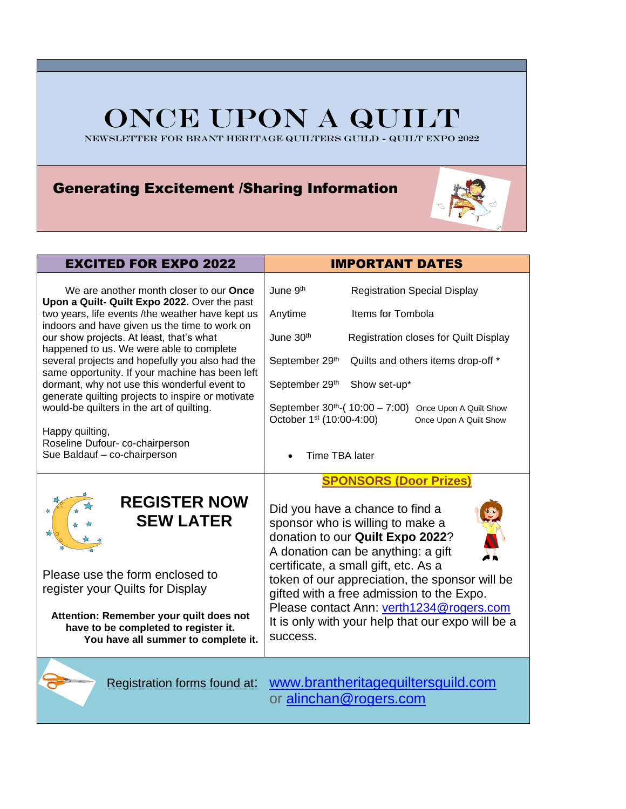# ONCE UPON A QUILT

NEWSLETTER FOR BRANT HERITAGE QUILTERS GUILD - QuILT EXPO 2022

### Generating Excitement /Sharing Information



| <b>EXCITED FOR EXPO 2022</b>                                                                                                                                                                                                                                                                                                                                                                                                                                                                                                                                                                                                              | <b>IMPORTANT DATES</b>                                                                                                                                                                                                                                                                                                                                                                                                             |  |  |
|-------------------------------------------------------------------------------------------------------------------------------------------------------------------------------------------------------------------------------------------------------------------------------------------------------------------------------------------------------------------------------------------------------------------------------------------------------------------------------------------------------------------------------------------------------------------------------------------------------------------------------------------|------------------------------------------------------------------------------------------------------------------------------------------------------------------------------------------------------------------------------------------------------------------------------------------------------------------------------------------------------------------------------------------------------------------------------------|--|--|
| We are another month closer to our <b>Once</b><br>Upon a Quilt- Quilt Expo 2022. Over the past<br>two years, life events /the weather have kept us<br>indoors and have given us the time to work on<br>our show projects. At least, that's what<br>happened to us. We were able to complete<br>several projects and hopefully you also had the<br>same opportunity. If your machine has been left<br>dormant, why not use this wonderful event to<br>generate quilting projects to inspire or motivate<br>would-be quilters in the art of quilting.<br>Happy quilting,<br>Roseline Dufour- co-chairperson<br>Sue Baldauf - co-chairperson | June 9th<br><b>Registration Special Display</b><br>Anytime<br>Items for Tombola<br>June 30th<br>Registration closes for Quilt Display<br>September 29th<br>Quilts and others items drop-off *<br>Show set-up*<br>September 29th<br>September $30^{th}$ -(10:00 - 7:00)<br>Once Upon A Quilt Show<br>October 1 <sup>st</sup> (10:00-4:00)<br>Once Upon A Quilt Show<br>Time TBA later                                               |  |  |
| <b>REGISTER NOW</b><br><b>SEW LATER</b><br>Please use the form enclosed to<br>register your Quilts for Display<br>Attention: Remember your quilt does not<br>have to be completed to register it.<br>You have all summer to complete it.                                                                                                                                                                                                                                                                                                                                                                                                  | <b>SPONSORS (Door Prizes)</b><br>Did you have a chance to find a<br>sponsor who is willing to make a<br>donation to our Quilt Expo 2022?<br>A donation can be anything: a gift<br>certificate, a small gift, etc. As a<br>token of our appreciation, the sponsor will be<br>gifted with a free admission to the Expo.<br>Please contact Ann: verth1234@rogers.com<br>It is only with your help that our expo will be a<br>success. |  |  |
| Registration forms found at:                                                                                                                                                                                                                                                                                                                                                                                                                                                                                                                                                                                                              | www.brantheritagequiltersguild.com<br>or alinchan@rogers.com                                                                                                                                                                                                                                                                                                                                                                       |  |  |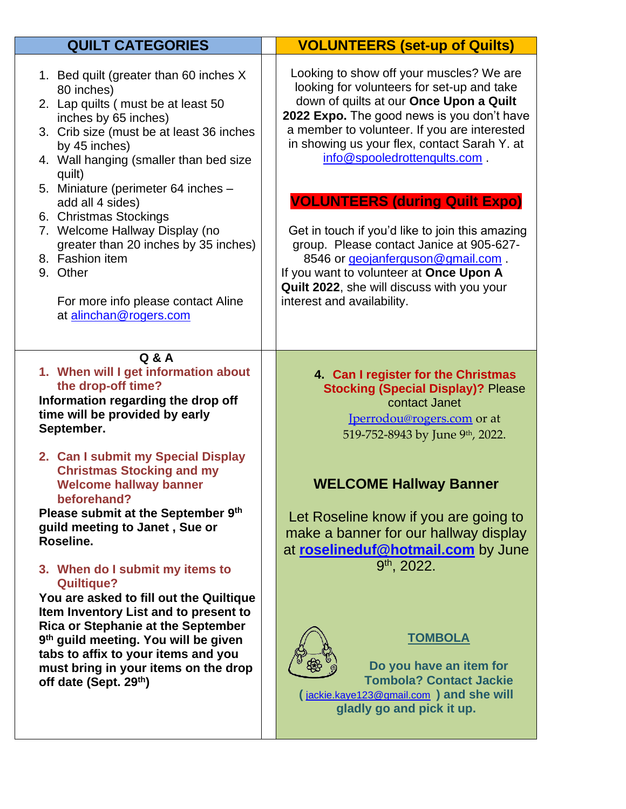| <b>QUILT CATEGORIES</b>                                                                                                                                                                                                                                                                                                                                                                                                                                                                           | <b>VOLUNTEERS (set-up of Quilts)</b>                                                                                                                                                                                                                                                                                                                                                                                                                                                                                                                                                                                |
|---------------------------------------------------------------------------------------------------------------------------------------------------------------------------------------------------------------------------------------------------------------------------------------------------------------------------------------------------------------------------------------------------------------------------------------------------------------------------------------------------|---------------------------------------------------------------------------------------------------------------------------------------------------------------------------------------------------------------------------------------------------------------------------------------------------------------------------------------------------------------------------------------------------------------------------------------------------------------------------------------------------------------------------------------------------------------------------------------------------------------------|
| 1. Bed quilt (greater than 60 inches X<br>80 inches)<br>2. Lap quilts (must be at least 50<br>inches by 65 inches)<br>3. Crib size (must be at least 36 inches<br>by 45 inches)<br>4. Wall hanging (smaller than bed size<br>quilt)<br>5. Miniature (perimeter 64 inches -<br>add all 4 sides)<br>6. Christmas Stockings<br>7. Welcome Hallway Display (no<br>greater than 20 inches by 35 inches)<br>8. Fashion item<br>9. Other<br>For more info please contact Aline<br>at alinchan@rogers.com | Looking to show off your muscles? We are<br>looking for volunteers for set-up and take<br>down of quilts at our Once Upon a Quilt<br>2022 Expo. The good news is you don't have<br>a member to volunteer. If you are interested<br>in showing us your flex, contact Sarah Y. at<br>info@spooledrottenqults.com.<br><b>VOLUNTEERS (during Quilt Expo)</b><br>Get in touch if you'd like to join this amazing<br>group. Please contact Janice at 905-627-<br>8546 or geojanferguson@gmail.com.<br>If you want to volunteer at Once Upon A<br>Quilt 2022, she will discuss with you your<br>interest and availability. |
| Q & A<br>1. When will I get information about<br>the drop-off time?<br>Information regarding the drop off<br>time will be provided by early<br>September.<br>2. Can I submit my Special Display<br><b>Christmas Stocking and my</b><br><b>Welcome hallway banner</b><br>beforehand?<br>Please submit at the September 9th<br>guild meeting to Janet, Sue or<br>Roseline.<br>3. When do I submit my items to                                                                                       | 4. Can I register for the Christmas<br><b>Stocking (Special Display)? Please</b><br>contact Janet<br><u>Jperrodou@rogers.com</u> or at<br>519-752-8943 by June 9th, 2022.<br><b>WELCOME Hallway Banner</b><br>Let Roseline know if you are going to<br>make a banner for our hallway display<br>at roselineduf@hotmail.com by June<br>$9th$ , 2022.                                                                                                                                                                                                                                                                 |
| <b>Quiltique?</b><br>You are asked to fill out the Quiltique<br>Item Inventory List and to present to<br>Rica or Stephanie at the September<br>9 <sup>th</sup> guild meeting. You will be given<br>tabs to affix to your items and you<br>must bring in your items on the drop<br>off date (Sept. 29th)                                                                                                                                                                                           | <b>TOMBOLA</b><br>Do you have an item for<br><b>Tombola? Contact Jackie</b><br>(jackie.kaye123@gmail.com) and she will<br>gladly go and pick it up.                                                                                                                                                                                                                                                                                                                                                                                                                                                                 |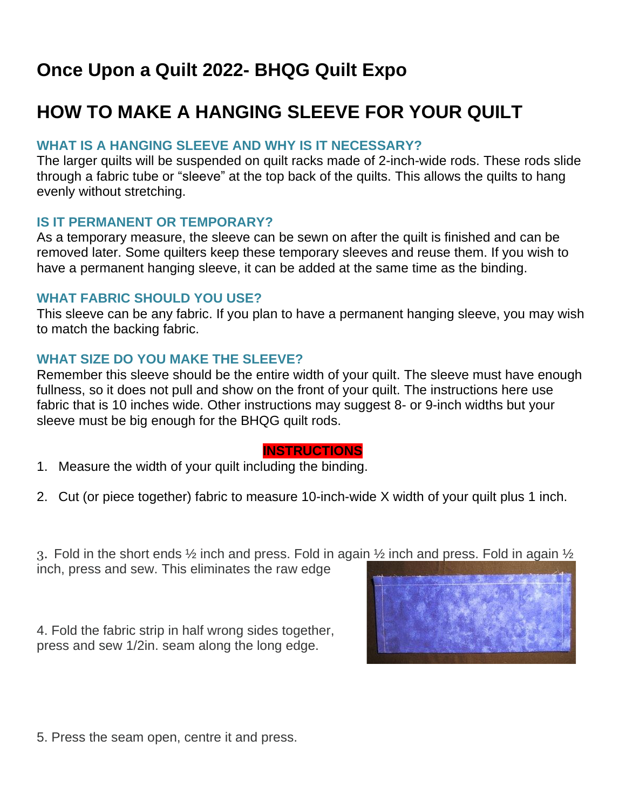## **Once Upon a Quilt 2022- BHQG Quilt Expo**

## **HOW TO MAKE A HANGING SLEEVE FOR YOUR QUILT**

#### **WHAT IS A HANGING SLEEVE AND WHY IS IT NECESSARY?**

The larger quilts will be suspended on quilt racks made of 2-inch-wide rods. These rods slide through a fabric tube or "sleeve" at the top back of the quilts. This allows the quilts to hang evenly without stretching.

#### **IS IT PERMANENT OR TEMPORARY?**

As a temporary measure, the sleeve can be sewn on after the quilt is finished and can be removed later. Some quilters keep these temporary sleeves and reuse them. If you wish to have a permanent hanging sleeve, it can be added at the same time as the binding.

#### **WHAT FABRIC SHOULD YOU USE?**

This sleeve can be any fabric. If you plan to have a permanent hanging sleeve, you may wish to match the backing fabric.

#### **WHAT SIZE DO YOU MAKE THE SLEEVE?**

Remember this sleeve should be the entire width of your quilt. The sleeve must have enough fullness, so it does not pull and show on the front of your quilt. The instructions here use fabric that is 10 inches wide. Other instructions may suggest 8- or 9-inch widths but your sleeve must be big enough for the BHQG quilt rods.

#### **INSTRUCTIONS**

- 1. Measure the width of your quilt including the binding.
- 2. Cut (or piece together) fabric to measure 10-inch-wide X width of your quilt plus 1 inch.

3. Fold in the short ends  $\frac{1}{2}$  inch and press. Fold in again  $\frac{1}{2}$  inch and press. Fold in again  $\frac{1}{2}$ inch, press and sew. This eliminates the raw edge

4. Fold the fabric strip in half wrong sides together, press and sew 1/2in. seam along the long edge.



5. Press the seam open, centre it and press.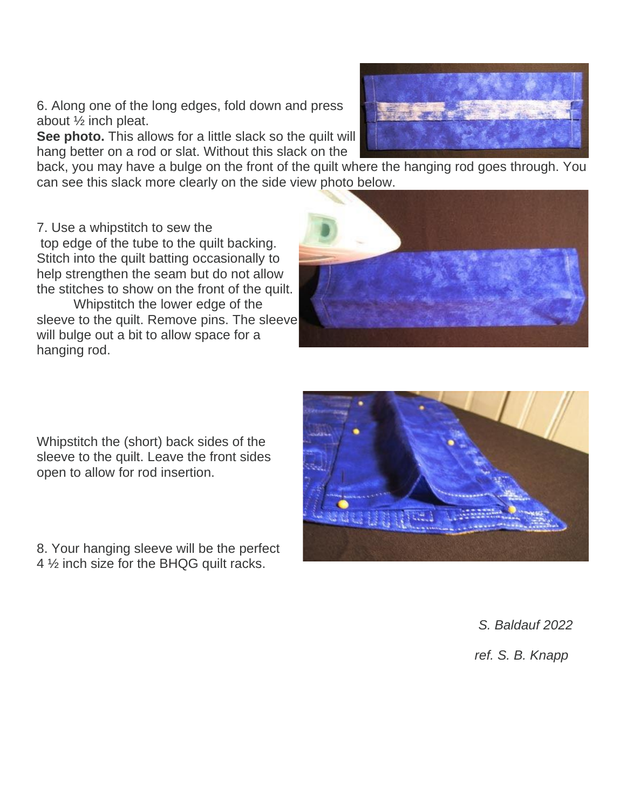6. Along one of the long edges, fold down and press about ½ inch pleat.

**See photo.** This allows for a little slack so the quilt will hang better on a rod or slat. Without this slack on the

back, you may have a bulge on the front of the quilt where the hanging rod goes through. You can see this slack more clearly on the side view photo below.

7. Use a whipstitch to sew the top edge of the tube to the quilt backing. Stitch into the quilt batting occasionally to help strengthen the seam but do not allow the stitches to show on the front of the quilt. Whipstitch the lower edge of the sleeve to the quilt. Remove pins. The sleeve

Whipstitch the (short) back sides of the sleeve to the quilt. Leave the front sides open to allow for rod insertion.

will bulge out a bit to allow space for a

hanging rod.

8. Your hanging sleeve will be the perfect 4 ½ inch size for the BHQG quilt racks.

*S. Baldauf 2022*

*ref. S. B. Knapp*





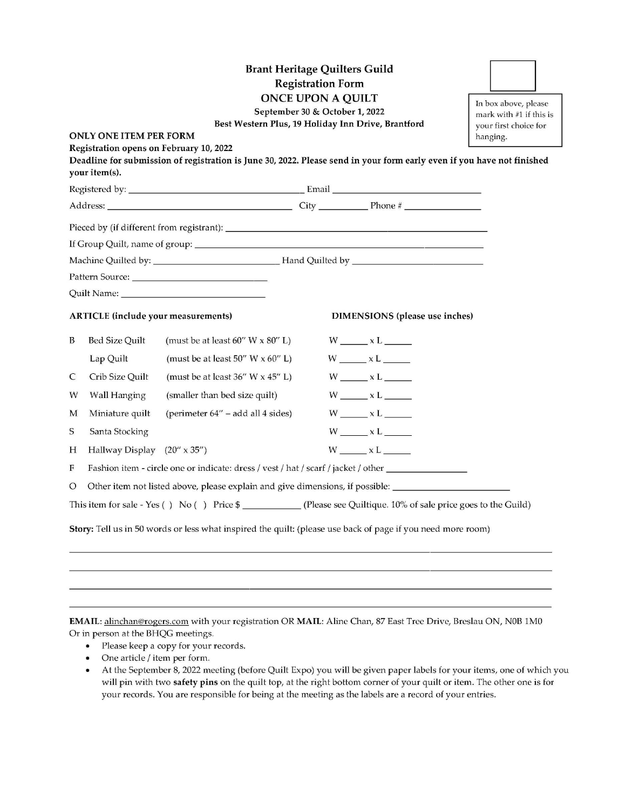|                                                                                                             | <b>ONLY ONE ITEM PER FORM</b><br>Registration opens on February 10, 2022<br>your item(s). | <b>Brant Heritage Quilters Guild</b><br>Best Western Plus, 19 Holiday Inn Drive, Brantford<br>Deadline for submission of registration is June 30, 2022. Please send in your form early even if you have not finished | <b>Registration Form</b><br><b>ONCE UPON A QUILT</b><br>September 30 & October 1, 2022 |                                | In box above, please<br>mark with #1 if this is<br>your first choice for<br>hanging. |
|-------------------------------------------------------------------------------------------------------------|-------------------------------------------------------------------------------------------|----------------------------------------------------------------------------------------------------------------------------------------------------------------------------------------------------------------------|----------------------------------------------------------------------------------------|--------------------------------|--------------------------------------------------------------------------------------|
|                                                                                                             |                                                                                           |                                                                                                                                                                                                                      |                                                                                        |                                |                                                                                      |
|                                                                                                             |                                                                                           |                                                                                                                                                                                                                      |                                                                                        |                                |                                                                                      |
|                                                                                                             |                                                                                           |                                                                                                                                                                                                                      |                                                                                        |                                |                                                                                      |
|                                                                                                             |                                                                                           |                                                                                                                                                                                                                      |                                                                                        |                                |                                                                                      |
|                                                                                                             |                                                                                           | Machine Quilted by: _________________________________Hand Quilted by _______________________________                                                                                                                 |                                                                                        |                                |                                                                                      |
|                                                                                                             |                                                                                           |                                                                                                                                                                                                                      |                                                                                        |                                |                                                                                      |
|                                                                                                             |                                                                                           |                                                                                                                                                                                                                      |                                                                                        |                                |                                                                                      |
|                                                                                                             | <b>ARTICLE</b> (include your measurements)                                                |                                                                                                                                                                                                                      |                                                                                        | DIMENSIONS (please use inches) |                                                                                      |
| B                                                                                                           | <b>Bed Size Quilt</b>                                                                     | (must be at least $60''$ W $\times$ $80''$ L)                                                                                                                                                                        |                                                                                        | $W$ $\times$ L                 |                                                                                      |
|                                                                                                             | Lap Quilt                                                                                 | (must be at least 50" W $\times$ 60" L)                                                                                                                                                                              |                                                                                        | $W$ $xL$ $T$                   |                                                                                      |
| C                                                                                                           | Crib Size Quilt                                                                           | (must be at least 36" W x 45" L)                                                                                                                                                                                     |                                                                                        | $W$ _______ x L _______        |                                                                                      |
| W                                                                                                           | Wall Hanging                                                                              | (smaller than bed size quilt)                                                                                                                                                                                        |                                                                                        | $W$ $xL$                       |                                                                                      |
| M                                                                                                           | Miniature quilt                                                                           | (perimeter 64" – add all 4 sides)                                                                                                                                                                                    |                                                                                        | $W$ $\times$ L                 |                                                                                      |
| S                                                                                                           | Santa Stocking                                                                            |                                                                                                                                                                                                                      |                                                                                        | $W$ $X$ L                      |                                                                                      |
| Н                                                                                                           | Hallway Display (20" x 35")                                                               |                                                                                                                                                                                                                      |                                                                                        | $W$ $xL$                       |                                                                                      |
| F                                                                                                           |                                                                                           | Fashion item - circle one or indicate: dress / vest / hat / scarf / jacket / other                                                                                                                                   |                                                                                        |                                |                                                                                      |
| O                                                                                                           |                                                                                           | Other item not listed above, please explain and give dimensions, if possible: ______________________                                                                                                                 |                                                                                        |                                |                                                                                      |
|                                                                                                             |                                                                                           | This item for sale - Yes () No () Price \$ _____________(Please see Quiltique. 10% of sale price goes to the Guild)                                                                                                  |                                                                                        |                                |                                                                                      |
| Story: Tell us in 50 words or less what inspired the quilt: (please use back of page if you need more room) |                                                                                           |                                                                                                                                                                                                                      |                                                                                        |                                |                                                                                      |
|                                                                                                             |                                                                                           |                                                                                                                                                                                                                      |                                                                                        |                                |                                                                                      |

EMAIL: alinchan@rogers.com with your registration OR MAIL: Aline Chan, 87 East Tree Drive, Breslau ON, N0B 1M0 Or in person at the BHQG meetings.

- $\bullet$ Please keep a copy for your records.
- One article / item per form.  $\bullet$
- At the September 8, 2022 meeting (before Quilt Expo) you will be given paper labels for your items, one of which you  $\bullet$ will pin with two safety pins on the quilt top, at the right bottom corner of your quilt or item. The other one is for your records. You are responsible for being at the meeting as the labels are a record of your entries.